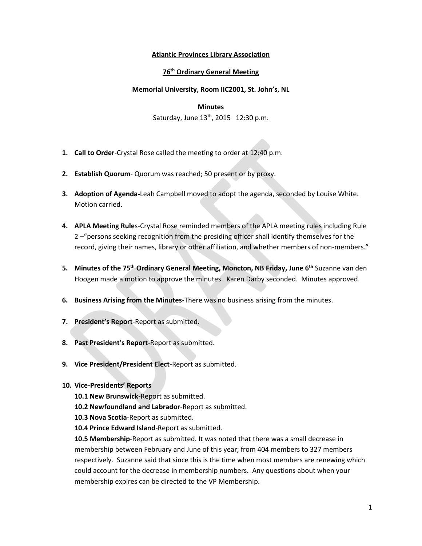## **Atlantic Provinces Library Association**

## **76 th Ordinary General Meeting**

### **Memorial University, Room IIC2001, St. John's, NL**

#### **Minutes**

Saturday, June  $13<sup>th</sup>$ , 2015 12:30 p.m.

- **1. Call to Order**-Crystal Rose called the meeting to order at 12:40 p.m.
- **2. Establish Quorum** Quorum was reached; 50 present or by proxy.
- **3. Adoption of Agenda-**Leah Campbell moved to adopt the agenda, seconded by Louise White. Motion carried.
- **4. APLA Meeting Rule**s-Crystal Rose reminded members of the APLA meeting rules including Rule 2 –"persons seeking recognition from the presiding officer shall identify themselves for the record, giving their names, library or other affiliation, and whether members of non-members."
- **5. Minutes of the 75 th Ordinary General Meeting, Moncton, NB Friday, June 6th** Suzanne van den Hoogen made a motion to approve the minutes. Karen Darby seconded. Minutes approved.
- **6. Business Arising from the Minutes**-There was no business arising from the minutes.
- **7. President's Report**-Report as submitted.
- **8. Past President's Report**-Report as submitted.
- **9. Vice President/President Elect**-Report as submitted.
- **10. Vice-Presidents' Reports** 
	- **10.1 New Brunswick**-Report as submitted.
	- **10.2 Newfoundland and Labrador**-Report as submitted.
	- **10.3 Nova Scotia**-Report as submitted.
	- **10.4 Prince Edward Island**-Report as submitted.

**10.5 Membership**-Report as submitted. It was noted that there was a small decrease in membership between February and June of this year; from 404 members to 327 members respectively. Suzanne said that since this is the time when most members are renewing which could account for the decrease in membership numbers. Any questions about when your membership expires can be directed to the VP Membership.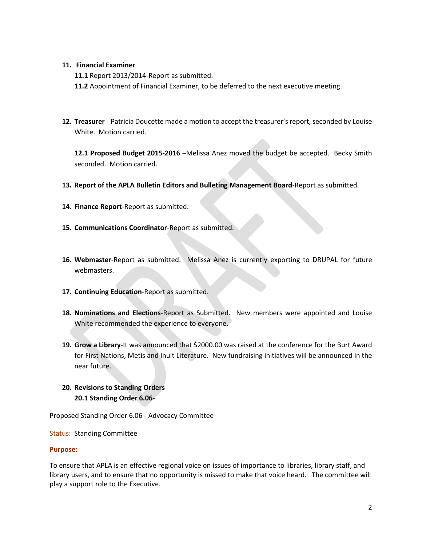### **11. Financial Examiner**

- **11.1** Report 2013/2014-Report as submitted.
- **11.2** Appointment of Financial Examiner, to be deferred to the next executive meeting.
- **12. Treasurer** Patricia Doucette made a motion to accept the treasurer's report, seconded by Louise White. Motion carried.

**12.1 Proposed Budget 2015-2016** –Melissa Anez moved the budget be accepted. Becky Smith seconded. Motion carried.

- **13. Report of the APLA Bulletin Editors and Bulleting Management Board**-Report as submitted.
- **14. Finance Report**-Report as submitted.
- **15. Communications Coordinator**-Report as submitted.
- **16. Webmaster**-Report as submitted. Melissa Anez is currently exporting to DRUPAL for future webmasters.
- **17. Continuing Education**-Report as submitted.
- **18. Nominations and Elections**-Report as Submitted. New members were appointed and Louise White recommended the experience to everyone.
- **19. Grow a Library**-It was announced that \$2000.00 was raised at the conference for the Burt Award for First Nations, Metis and Inuit Literature. New fundraising initiatives will be announced in the near future.
- **20. Revisions to Standing Orders 20.1 Standing Order 6.06**-

Proposed Standing Order 6.06 - Advocacy Committee

Status: Standing Committee

### **Purpose:**

To ensure that APLA is an effective regional voice on issues of importance to libraries, library staff, and library users, and to ensure that no opportunity is missed to make that voice heard. The committee will play a support role to the Executive.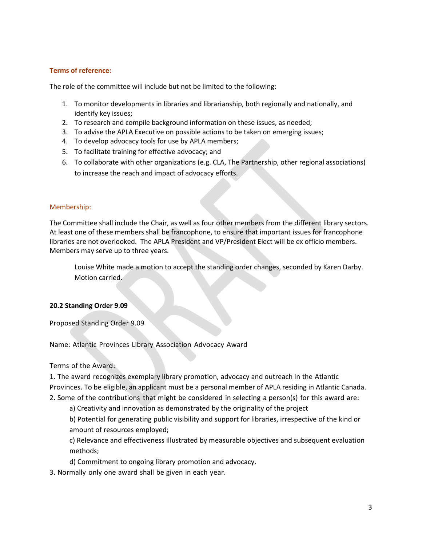## **Terms of reference:**

The role of the committee will include but not be limited to the following:

- 1. To monitor developments in libraries and librarianship, both regionally and nationally, and identify key issues;
- 2. To research and compile background information on these issues, as needed;
- 3. To advise the APLA Executive on possible actions to be taken on emerging issues;
- 4. To develop advocacy tools for use by APLA members;
- 5. To facilitate training for effective advocacy; and
- 6. To collaborate with other organizations (e.g. CLA, The Partnership, other regional associations) to increase the reach and impact of advocacy efforts.

#### Membership:

The Committee shall include the Chair, as well as four other members from the different library sectors. At least one of these members shall be francophone, to ensure that important issues for francophone libraries are not overlooked. The APLA President and VP/President Elect will be ex officio members. Members may serve up to three years.

Louise White made a motion to accept the standing order changes, seconded by Karen Darby. Motion carried.

### **20.2 Standing Order 9**.**09**

Proposed Standing Order 9.09

Name: Atlantic Provinces Library Association Advocacy Award

Terms of the Award:

1. The award recognizes exemplary library promotion, advocacy and outreach in the Atlantic Provinces. To be eligible, an applicant must be a personal member of APLA residing in Atlantic Canada. 2. Some of the contributions that might be considered in selecting a person(s) for this award are:

a) Creativity and innovation as demonstrated by the originality of the project

b) Potential for generating public visibility and support for libraries, irrespective of the kind or amount of resources employed;

c) Relevance and effectiveness illustrated by measurable objectives and subsequent evaluation methods;

d) Commitment to ongoing library promotion and advocacy.

3. Normally only one award shall be given in each year.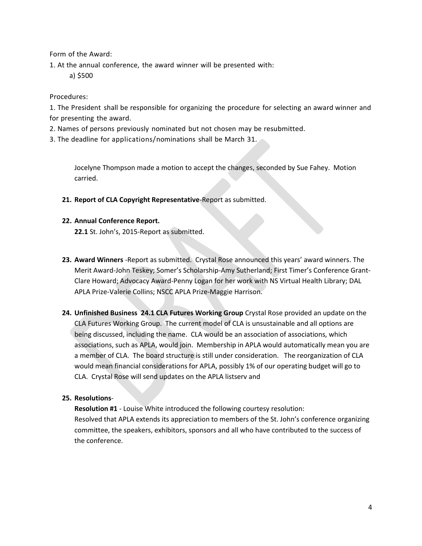Form of the Award:

1. At the annual conference, the award winner will be presented with:

a) \$500

## Procedures:

1. The President shall be responsible for organizing the procedure for selecting an award winner and for presenting the award.

- 2. Names of persons previously nominated but not chosen may be resubmitted.
- 3. The deadline for applications/nominations shall be March 31.

Jocelyne Thompson made a motion to accept the changes, seconded by Sue Fahey. Motion carried.

**21. Report of CLA Copyright Representative**-Report as submitted.

## **22. Annual Conference Report.**

**22.1** St. John's, 2015-Report as submitted.

- **23. Award Winners** -Report as submitted. Crystal Rose announced this years' award winners. The Merit Award-John Teskey; Somer's Scholarship-Amy Sutherland; First Timer's Conference Grant-Clare Howard; Advocacy Award-Penny Logan for her work with NS Virtual Health Library; DAL APLA Prize-Valerie Collins; NSCC APLA Prize-Maggie Harrison.
- **24. Unfinished Business 24.1 CLA Futures Working Group** Crystal Rose provided an update on the CLA Futures Working Group. The current model of CLA is unsustainable and all options are being discussed, including the name. CLA would be an association of associations, which associations, such as APLA, would join. Membership in APLA would automatically mean you are a member of CLA. The board structure is still under consideration. The reorganization of CLA would mean financial considerations for APLA, possibly 1% of our operating budget will go to CLA. Crystal Rose will send updates on the APLA listserv and

# **25. Resolutions**-

**Resolution #1** - Louise White introduced the following courtesy resolution: Resolved that APLA extends its appreciation to members of the St. John's conference organizing committee, the speakers, exhibitors, sponsors and all who have contributed to the success of the conference.